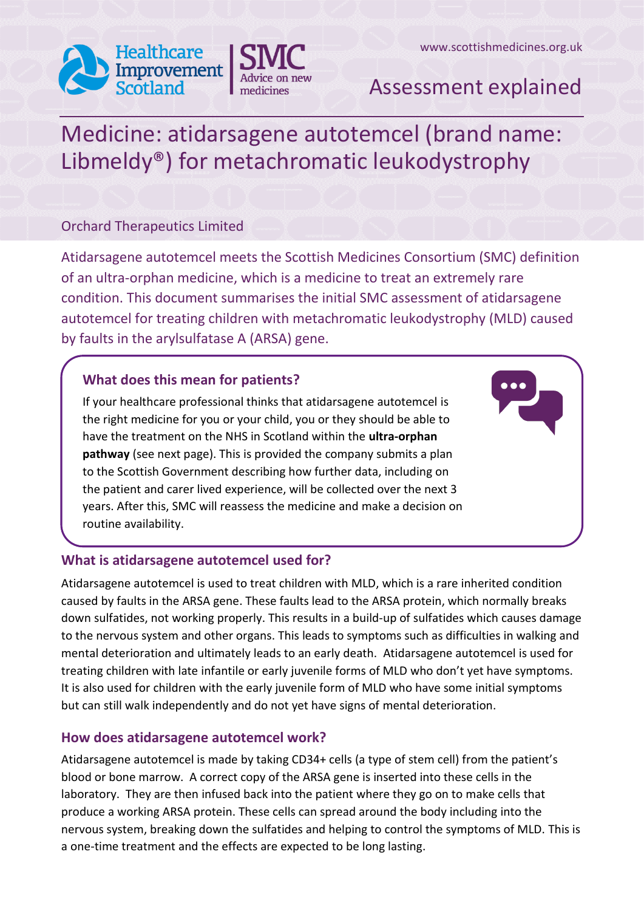



## Assessment explained

# Medicine: atidarsagene autotemcel (brand name: Libmeldy®) for metachromatic leukodystrophy

## Orchard Therapeutics Limited

Atidarsagene autotemcel meets the Scottish Medicines Consortium (SMC) definition of an ultra-orphan medicine, which is a medicine to treat an extremely rare condition. This document summarises the initial SMC assessment of atidarsagene autotemcel for treating children with metachromatic leukodystrophy (MLD) caused by faults in the arylsulfatase A (ARSA) gene.

## **What does this mean for patients?**

If your healthcare professional thinks that atidarsagene autotemcel is the right medicine for you or your child, you or they should be able to have the treatment on the NHS in Scotland within the **ultra-orphan pathway** (see next page). This is provided the company submits a plan to the Scottish Government describing how further data, including on the patient and carer lived experience, will be collected over the next 3 years. After this, SMC will reassess the medicine and make a decision on routine availability.

## **What is atidarsagene autotemcel used for?**

Atidarsagene autotemcel is used to treat children with MLD, which is a rare inherited condition caused by faults in the ARSA gene. These faults lead to the ARSA protein, which normally breaks down sulfatides, not working properly. This results in a build-up of sulfatides which causes damage to the nervous system and other organs. This leads to symptoms such as difficulties in walking and mental deterioration and ultimately leads to an early death. Atidarsagene autotemcel is used for treating children with late infantile or early juvenile forms of MLD who don't yet have symptoms. It is also used for children with the early juvenile form of MLD who have some initial symptoms but can still walk independently and do not yet have signs of mental deterioration.

## **How does atidarsagene autotemcel work?**

Atidarsagene autotemcel is made by taking CD34+ cells (a type of stem cell) from the patient's blood or bone marrow. A correct copy of the ARSA gene is inserted into these cells in the laboratory. They are then infused back into the patient where they go on to make cells that produce a working ARSA protein. These cells can spread around the body including into the nervous system, breaking down the sulfatides and helping to control the symptoms of MLD. This is a one-time treatment and the effects are expected to be long lasting.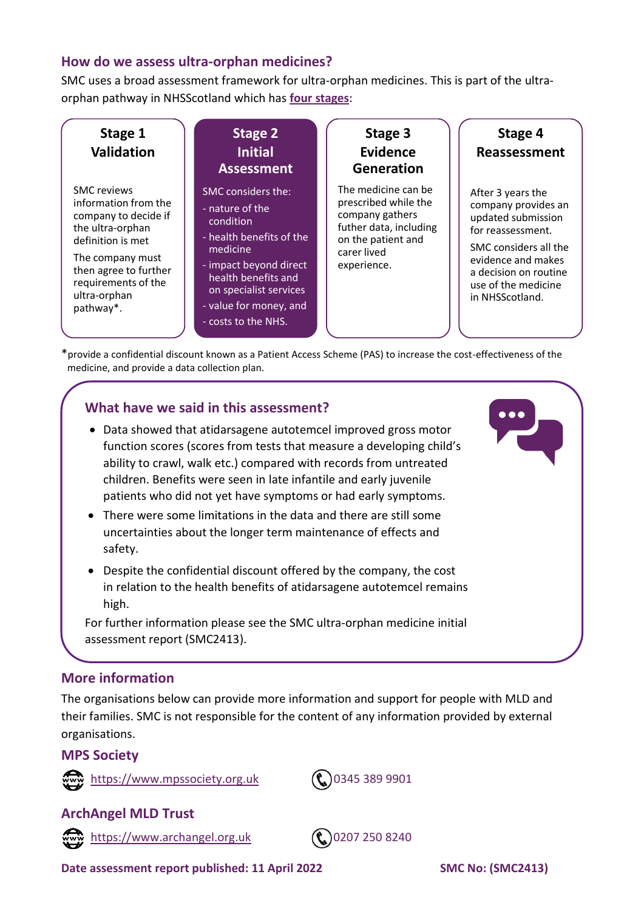#### **How do we assess ultra-orphan medicines?**

SMC uses a broad assessment framework for ultra-orphan medicines. This is part of the ultraorphan pathway in NHSScotland which has **[four stages](https://www.scottishmedicines.org.uk/how-we-decide/ultra-orphan-medicines-for-extremely-rare-conditions/)**:



\*provide a confidential discount known as a Patient Access Scheme (PAS) to increase the cost-effectiveness of the medicine, and provide a data collection plan.

#### **What have we said in this assessment?**

- Data showed that atidarsagene autotemcel improved gross motor function scores (scores from tests that measure a developing child's ability to crawl, walk etc.) compared with records from untreated children. Benefits were seen in late infantile and early juvenile patients who did not yet have symptoms or had early symptoms.
- There were some limitations in the data and there are still some uncertainties about the longer term maintenance of effects and safety.
- Despite the confidential discount offered by the company, the cost in relation to the health benefits of atidarsagene autotemcel remains high.

For further information please see the SMC ultra-orphan medicine initial assessment report (SMC2413).

#### **More information**

The organisations below can provide more information and support for people with MLD and their families. SMC is not responsible for the content of any information provided by external organisations.

#### **MPS Society**





## **ArchAngel MLD Trust**





**Date assessment report published: 11 April 2022 SMC No: (SMC2413)**